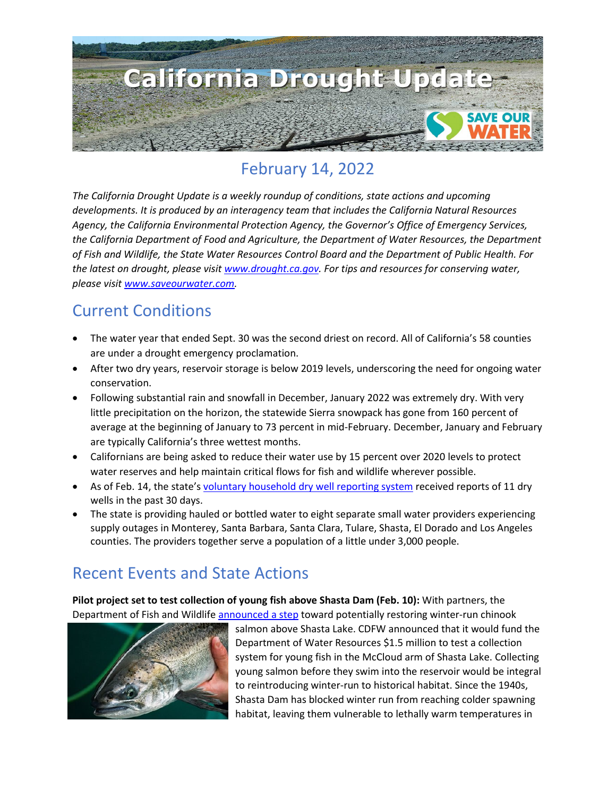

## February 14, 2022

*The California Drought Update is a weekly roundup of conditions, state actions and upcoming developments. It is produced by an interagency team that includes the California Natural Resources Agency, the California Environmental Protection Agency, the Governor's Office of Emergency Services, the California Department of Food and Agriculture, the Department of Water Resources, the Department of Fish and Wildlife, the State Water Resources Control Board and the Department of Public Health. For the latest on drought, please visit [www.drought.ca.gov.](http://www.drought.ca.gov/) For tips and resources for conserving water, please visit [www.saveourwater.com.](http://www.saveourwater.com/)*

#### Current Conditions

- The water year that ended Sept. 30 was the second driest on record. All of California's 58 counties are under a drought emergency proclamation.
- After two dry years, reservoir storage is below 2019 levels, underscoring the need for ongoing water conservation.
- Following substantial rain and snowfall in December, January 2022 was extremely dry. With very little precipitation on the horizon, the statewide Sierra snowpack has gone from 160 percent of average at the beginning of January to 73 percent in mid-February. December, January and February are typically California's three wettest months.
- Californians are being asked to reduce their water use by 15 percent over 2020 levels to protect water reserves and help maintain critical flows for fish and wildlife wherever possible.
- As of Feb. 14, the state's [voluntary household dry well reporting system](https://mydrywell.water.ca.gov/report/) received reports of 11 dry wells in the past 30 days.
- The state is providing hauled or bottled water to eight separate small water providers experiencing supply outages in Monterey, Santa Barbara, Santa Clara, Tulare, Shasta, El Dorado and Los Angeles counties. The providers together serve a population of a little under 3,000 people.

## Recent Events and State Actions

**Pilot project set to test collection of young fish above Shasta Dam (Feb. 10):** With partners, the Department of Fish and Wildlife [announced a step](https://wildlife.ca.gov/News/pilot-project-to-return-salmon-to-their-historical-habitat-above-shasta-dam-receives-initial-funding) toward potentially restoring winter-run chinook



salmon above Shasta Lake. CDFW announced that it would fund the Department of Water Resources \$1.5 million to test a collection system for young fish in the McCloud arm of Shasta Lake. Collecting young salmon before they swim into the reservoir would be integral to reintroducing winter-run to historical habitat. Since the 1940s, Shasta Dam has blocked winter run from reaching colder spawning habitat, leaving them vulnerable to lethally warm temperatures in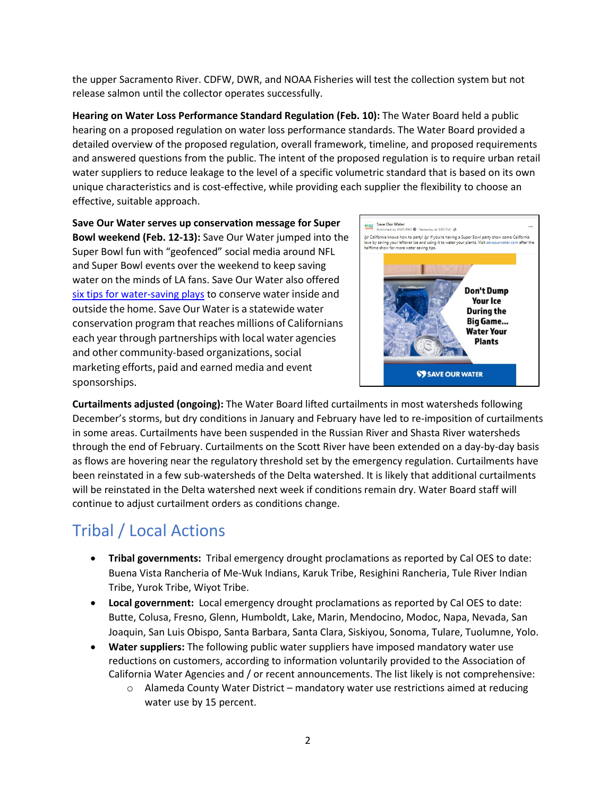the upper Sacramento River. CDFW, DWR, and NOAA Fisheries will test the collection system but not release salmon until the collector operates successfully.

**Hearing on Water Loss Performance Standard Regulation (Feb. 10):** The Water Board held a public hearing on a proposed regulation on water loss performance standards. The Water Board provided a detailed overview of the proposed regulation, overall framework, timeline, and proposed requirements and answered questions from the public. The intent of the proposed regulation is to require urban retail water suppliers to reduce leakage to the level of a specific volumetric standard that is based on its own unique characteristics and is cost-effective, while providing each supplier the flexibility to choose an effective, suitable approach.

**Save Our Water serves up conservation message for Super Bowl weekend (Feb. 12-13):** Save Our Water jumped into the Super Bowl fun with "geofenced" social media around NFL and Super Bowl events over the weekend to keep saving water on the minds of LA fans. Save Our Water also offered [six tips for water-saving plays](https://saveourwater.com/News-and-Events/Latest-News/Saving-Water-Big-Game) to conserve water inside and outside the home. Save Our Water is a statewide water conservation program that reaches millions of Californians each year through partnerships with local water agencies and other community-based organizations, social marketing efforts, paid and earned media and event sponsorships.



**Curtailments adjusted (ongoing):** The Water Board lifted curtailments in most watersheds following December's storms, but dry conditions in January and February have led to re-imposition of curtailments in some areas. Curtailments have been suspended in the Russian River and Shasta River watersheds through the end of February. Curtailments on the Scott River have been extended on a day-by-day basis as flows are hovering near the regulatory threshold set by the emergency regulation. Curtailments have been reinstated in a few sub-watersheds of the Delta watershed. It is likely that additional curtailments will be reinstated in the Delta watershed next week if conditions remain dry. Water Board staff will continue to adjust curtailment orders as conditions change.

# Tribal / Local Actions

- **Tribal governments:** Tribal emergency drought proclamations as reported by Cal OES to date: Buena Vista Rancheria of Me-Wuk Indians, Karuk Tribe, Resighini Rancheria, Tule River Indian Tribe, Yurok Tribe, Wiyot Tribe.
- **Local government:** Local emergency drought proclamations as reported by Cal OES to date: Butte, Colusa, Fresno, Glenn, Humboldt, Lake, Marin, Mendocino, Modoc, Napa, Nevada, San Joaquin, San Luis Obispo, Santa Barbara, Santa Clara, Siskiyou, Sonoma, Tulare, Tuolumne, Yolo.
- **Water suppliers:** The following public water suppliers have imposed mandatory water use reductions on customers, according to information voluntarily provided to the Association of California Water Agencies and / or recent announcements. The list likely is not comprehensive:
	- o Alameda County Water District mandatory water use restrictions aimed at reducing water use by 15 percent.